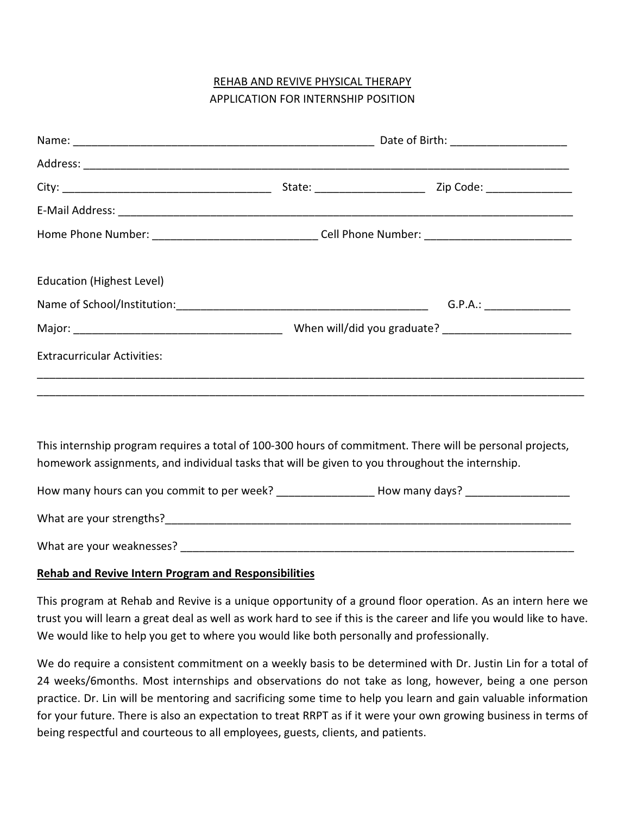# REHAB AND REVIVE PHYSICAL THERAPY APPLICATION FOR INTERNSHIP POSITION

|                                                                                                 | Home Phone Number: ___________________________________Cell Phone Number: ___________________________ |                                                                                                           |  |  |  |  |  |
|-------------------------------------------------------------------------------------------------|------------------------------------------------------------------------------------------------------|-----------------------------------------------------------------------------------------------------------|--|--|--|--|--|
| <b>Education (Highest Level)</b>                                                                |                                                                                                      |                                                                                                           |  |  |  |  |  |
|                                                                                                 |                                                                                                      |                                                                                                           |  |  |  |  |  |
|                                                                                                 |                                                                                                      |                                                                                                           |  |  |  |  |  |
| <b>Extracurricular Activities:</b>                                                              |                                                                                                      |                                                                                                           |  |  |  |  |  |
| homework assignments, and individual tasks that will be given to you throughout the internship. |                                                                                                      | This internship program requires a total of 100-300 hours of commitment. There will be personal projects, |  |  |  |  |  |
|                                                                                                 |                                                                                                      | How many hours can you commit to per week? ______________________How many days? ___________________       |  |  |  |  |  |
|                                                                                                 |                                                                                                      |                                                                                                           |  |  |  |  |  |
|                                                                                                 |                                                                                                      |                                                                                                           |  |  |  |  |  |

## Rehab and Revive Intern Program and Responsibilities

This program at Rehab and Revive is a unique opportunity of a ground floor operation. As an intern here we trust you will learn a great deal as well as work hard to see if this is the career and life you would like to have. We would like to help you get to where you would like both personally and professionally.

We do require a consistent commitment on a weekly basis to be determined with Dr. Justin Lin for a total of 24 weeks/6months. Most internships and observations do not take as long, however, being a one person practice. Dr. Lin will be mentoring and sacrificing some time to help you learn and gain valuable information for your future. There is also an expectation to treat RRPT as if it were your own growing business in terms of being respectful and courteous to all employees, guests, clients, and patients.